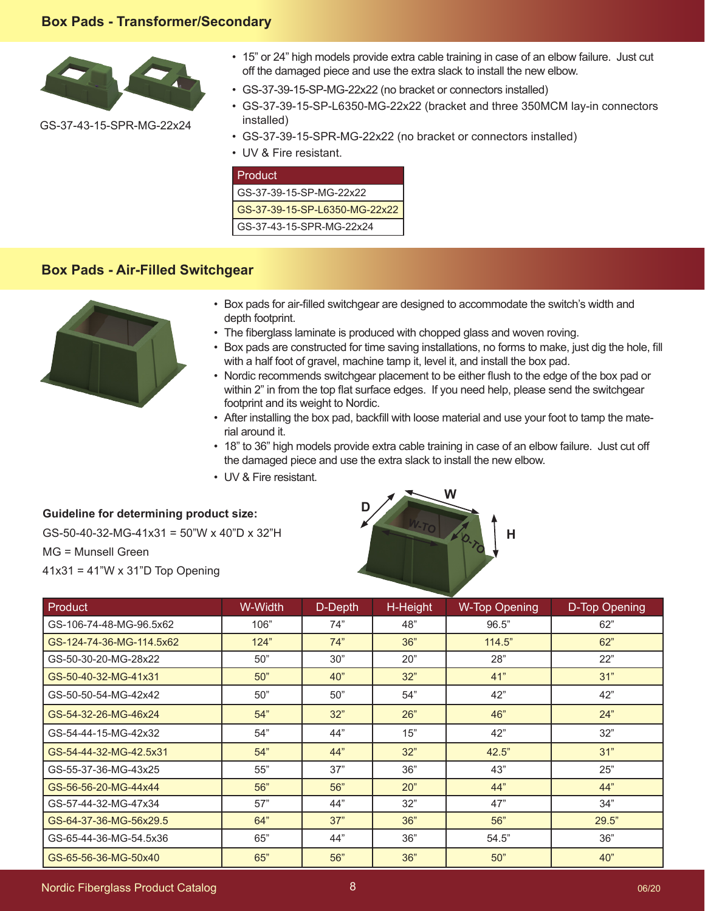## **Box Pads - Transformer/Secondary**



GS-37-43-15-SPR-MG-22x24

- 15" or 24" high models provide extra cable training in case of an elbow failure. Just cut off the damaged piece and use the extra slack to install the new elbow.
- GS-37-39-15-SP-MG-22x22 (no bracket or connectors installed)
- GS-37-39-15-SP-L6350-MG-22x22 (bracket and three 350MCM lay-in connectors installed)
- GS-37-39-15-SPR-MG-22x22 (no bracket or connectors installed)
- UV & Fire resistant.

| l Product                     |
|-------------------------------|
| GS-37-39-15-SP-MG-22x22       |
| GS-37-39-15-SP-L6350-MG-22x22 |
| GS-37-43-15-SPR-MG-22x24      |

## **Box Pads - Air-Filled Switchgear**



- Box pads for air-filled switchgear are designed to accommodate the switch's width and depth footprint.
- The fiberglass laminate is produced with chopped glass and woven roving.
- Box pads are constructed for time saving installations, no forms to make, just dig the hole, fill with a half foot of gravel, machine tamp it, level it, and install the box pad.
- Nordic recommends switchgear placement to be either flush to the edge of the box pad or within 2" in from the top flat surface edges. If you need help, please send the switchgear footprint and its weight to Nordic.
- After installing the box pad, backfill with loose material and use your foot to tamp the material around it.
- 18" to 36" high models provide extra cable training in case of an elbow failure. Just cut off the damaged piece and use the extra slack to install the new elbow.
- UV & Fire resistant.

**Guideline for determining product size:** GS-50-40-32-MG-41x31 = 50"W x 40"D x 32"H MG = Munsell Green  $41x31 = 41"W \times 31"D$  Top Opening



| Product                  | W-Width | D-Depth | H-Height | <b>W-Top Opening</b> | D-Top Opening |
|--------------------------|---------|---------|----------|----------------------|---------------|
| GS-106-74-48-MG-96.5x62  | 106"    | 74"     | 48"      | 96.5"                | 62"           |
| GS-124-74-36-MG-114.5x62 | 124"    | 74"     | 36"      | 114.5"               | 62"           |
| GS-50-30-20-MG-28x22     | 50"     | 30"     | 20"      | 28"                  | 22"           |
| GS-50-40-32-MG-41x31     | 50"     | 40"     | 32"      | 41"                  | 31"           |
| GS-50-50-54-MG-42x42     | 50"     | 50"     | 54"      | 42"                  | 42"           |
| GS-54-32-26-MG-46x24     | 54"     | 32"     | 26"      | 46"                  | 24"           |
| GS-54-44-15-MG-42x32     | 54"     | 44"     | 15"      | 42"                  | 32"           |
| GS-54-44-32-MG-42.5x31   | 54"     | 44"     | 32"      | 42.5"                | 31"           |
| GS-55-37-36-MG-43x25     | 55"     | 37"     | 36"      | 43"                  | 25"           |
| GS-56-56-20-MG-44x44     | 56"     | 56"     | 20"      | 44"                  | 44"           |
| GS-57-44-32-MG-47x34     | 57"     | 44"     | 32"      | 47"                  | 34"           |
| GS-64-37-36-MG-56x29.5   | 64"     | 37"     | 36"      | 56"                  | 29.5"         |
| GS-65-44-36-MG-54.5x36   | 65"     | 44"     | 36"      | 54.5"                | 36"           |
| GS-65-56-36-MG-50x40     | 65"     | 56"     | 36"      | 50"                  | 40"           |